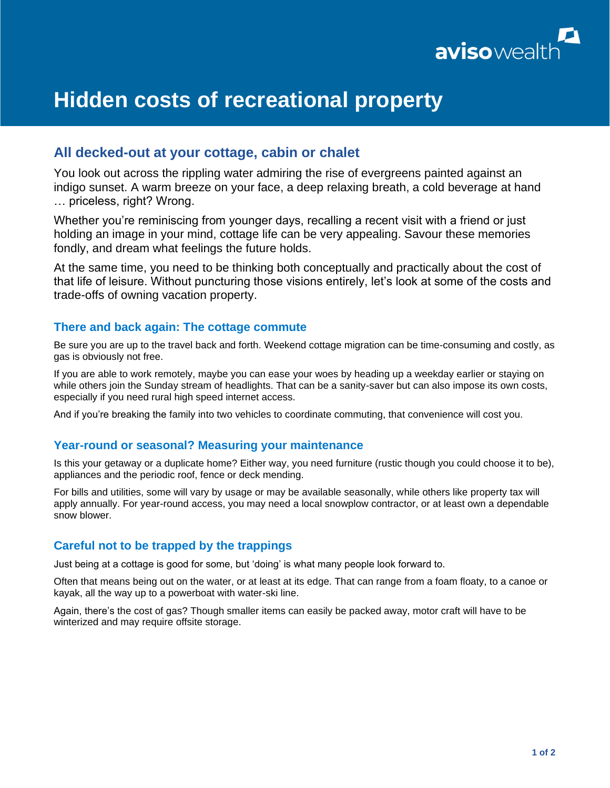

# **Hidden costs of recreational property**

# **All decked-out at your cottage, cabin or chalet**

You look out across the rippling water admiring the rise of evergreens painted against an indigo sunset. A warm breeze on your face, a deep relaxing breath, a cold beverage at hand … priceless, right? Wrong.

Whether you're reminiscing from younger days, recalling a recent visit with a friend or just holding an image in your mind, cottage life can be very appealing. Savour these memories fondly, and dream what feelings the future holds.

At the same time, you need to be thinking both conceptually and practically about the cost of that life of leisure. Without puncturing those visions entirely, let's look at some of the costs and trade-offs of owning vacation property.

## **There and back again: The cottage commute**

Be sure you are up to the travel back and forth. Weekend cottage migration can be time-consuming and costly, as gas is obviously not free.

If you are able to work remotely, maybe you can ease your woes by heading up a weekday earlier or staying on while others join the Sunday stream of headlights. That can be a sanity-saver but can also impose its own costs, especially if you need rural high speed internet access.

And if you're breaking the family into two vehicles to coordinate commuting, that convenience will cost you.

## **Year-round or seasonal? Measuring your maintenance**

Is this your getaway or a duplicate home? Either way, you need furniture (rustic though you could choose it to be), appliances and the periodic roof, fence or deck mending.

For bills and utilities, some will vary by usage or may be available seasonally, while others like property tax will apply annually. For year-round access, you may need a local snowplow contractor, or at least own a dependable snow blower.

## **Careful not to be trapped by the trappings**

Just being at a cottage is good for some, but 'doing' is what many people look forward to.

Often that means being out on the water, or at least at its edge. That can range from a foam floaty, to a canoe or kayak, all the way up to a powerboat with water-ski line.

Again, there's the cost of gas? Though smaller items can easily be packed away, motor craft will have to be winterized and may require offsite storage.